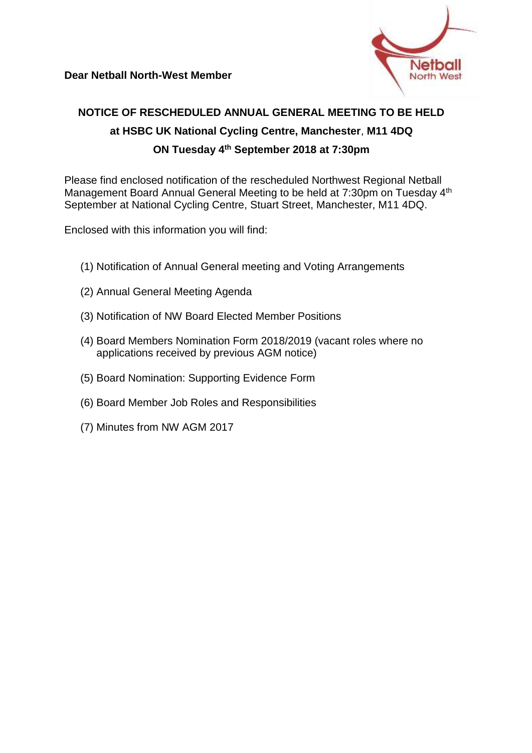

# **NOTICE OF RESCHEDULED ANNUAL GENERAL MEETING TO BE HELD at HSBC UK National Cycling Centre, Manchester**, **M11 4DQ ON Tuesday 4th September 2018 at 7:30pm**

Please find enclosed notification of the rescheduled Northwest Regional Netball Management Board Annual General Meeting to be held at 7:30pm on Tuesday 4<sup>th</sup> September at National Cycling Centre, Stuart Street, Manchester, M11 4DQ.

Enclosed with this information you will find:

- (1) Notification of Annual General meeting and Voting Arrangements
- (2) Annual General Meeting Agenda
- (3) Notification of NW Board Elected Member Positions
- (4) Board Members Nomination Form 2018/2019 (vacant roles where no applications received by previous AGM notice)
- (5) Board Nomination: Supporting Evidence Form
- (6) Board Member Job Roles and Responsibilities
- (7) Minutes from NW AGM 2017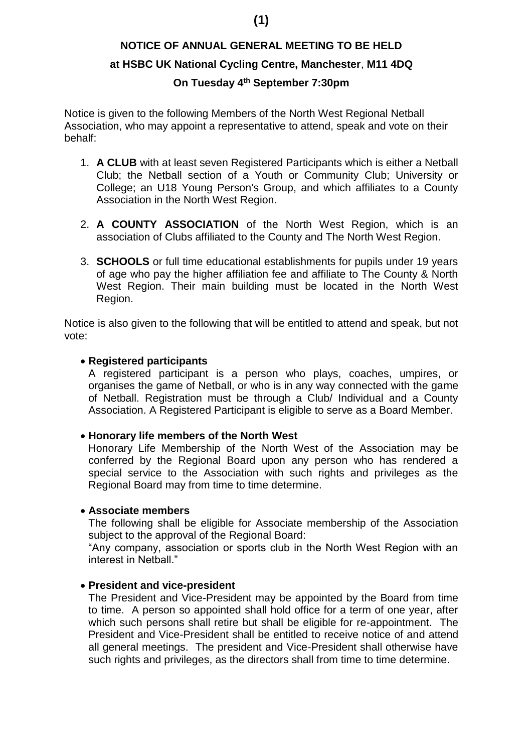# **(1)**

# **NOTICE OF ANNUAL GENERAL MEETING TO BE HELD at HSBC UK National Cycling Centre, Manchester**, **M11 4DQ**

### **On Tuesday 4th September 7:30pm**

Notice is given to the following Members of the North West Regional Netball Association, who may appoint a representative to attend, speak and vote on their behalf:

- 1. **A CLUB** with at least seven Registered Participants which is either a Netball Club; the Netball section of a Youth or Community Club; University or College; an U18 Young Person's Group, and which affiliates to a County Association in the North West Region.
- 2. **A COUNTY ASSOCIATION** of the North West Region, which is an association of Clubs affiliated to the County and The North West Region.
- 3. **SCHOOLS** or full time educational establishments for pupils under 19 years of age who pay the higher affiliation fee and affiliate to The County & North West Region. Their main building must be located in the North West Region.

Notice is also given to the following that will be entitled to attend and speak, but not vote:

#### **Registered participants**

A registered participant is a person who plays, coaches, umpires, or organises the game of Netball, or who is in any way connected with the game of Netball. Registration must be through a Club/ Individual and a County Association. A Registered Participant is eligible to serve as a Board Member.

#### **Honorary life members of the North West**

Honorary Life Membership of the North West of the Association may be conferred by the Regional Board upon any person who has rendered a special service to the Association with such rights and privileges as the Regional Board may from time to time determine.

#### **Associate members**

The following shall be eligible for Associate membership of the Association subject to the approval of the Regional Board:

"Any company, association or sports club in the North West Region with an interest in Netball."

#### **President and vice-president**

The President and Vice-President may be appointed by the Board from time to time. A person so appointed shall hold office for a term of one year, after which such persons shall retire but shall be eligible for re-appointment. The President and Vice-President shall be entitled to receive notice of and attend all general meetings. The president and Vice-President shall otherwise have such rights and privileges, as the directors shall from time to time determine.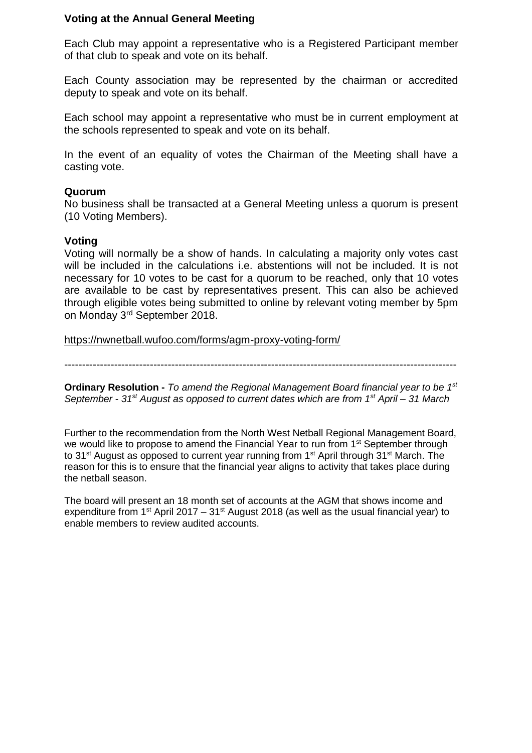#### **Voting at the Annual General Meeting**

Each Club may appoint a representative who is a Registered Participant member of that club to speak and vote on its behalf.

Each County association may be represented by the chairman or accredited deputy to speak and vote on its behalf.

Each school may appoint a representative who must be in current employment at the schools represented to speak and vote on its behalf.

In the event of an equality of votes the Chairman of the Meeting shall have a casting vote.

#### **Quorum**

No business shall be transacted at a General Meeting unless a quorum is present (10 Voting Members).

#### **Voting**

Voting will normally be a show of hands. In calculating a majority only votes cast will be included in the calculations i.e. abstentions will not be included. It is not necessary for 10 votes to be cast for a quorum to be reached, only that 10 votes are available to be cast by representatives present. This can also be achieved through eligible votes being submitted to online by relevant voting member by 5pm on Monday 3rd September 2018.

<https://nwnetball.wufoo.com/forms/agm-proxy-voting-form/>

--------------------------------------------------------------------------------------------------------------

**Ordinary Resolution -** *To amend the Regional Management Board financial year to be 1st September - 31st August as opposed to current dates which are from 1st April – 31 March*

Further to the recommendation from the North West Netball Regional Management Board, we would like to propose to amend the Financial Year to run from 1<sup>st</sup> September through to 31<sup>st</sup> August as opposed to current year running from 1<sup>st</sup> April through 31<sup>st</sup> March. The reason for this is to ensure that the financial year aligns to activity that takes place during the netball season.

The board will present an 18 month set of accounts at the AGM that shows income and expenditure from  $1^{st}$  April 2017 – 31 $^{st}$  August 2018 (as well as the usual financial year) to enable members to review audited accounts.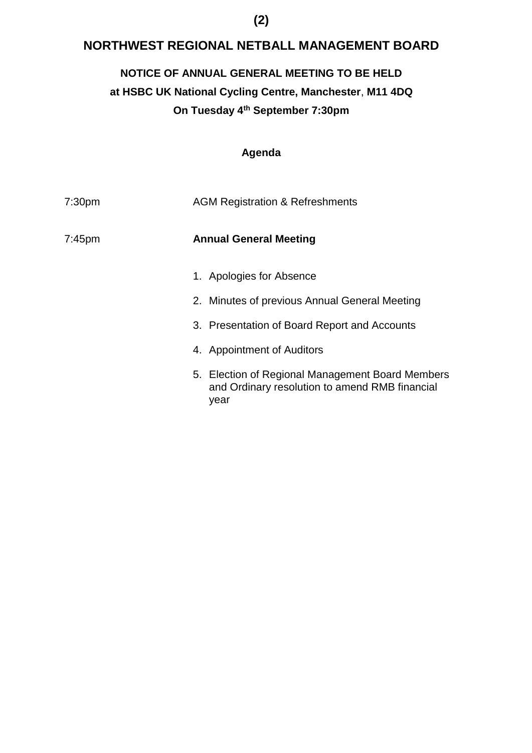## **NORTHWEST REGIONAL NETBALL MANAGEMENT BOARD**

### **NOTICE OF ANNUAL GENERAL MEETING TO BE HELD**

# **at HSBC UK National Cycling Centre, Manchester**, **M11 4DQ On Tuesday 4th September 7:30pm**

### **Agenda**

| 7:30 <sub>pm</sub> | <b>AGM Registration &amp; Refreshments</b>                                                                 |  |
|--------------------|------------------------------------------------------------------------------------------------------------|--|
| $7:45$ pm          | <b>Annual General Meeting</b>                                                                              |  |
|                    | 1. Apologies for Absence                                                                                   |  |
|                    | 2. Minutes of previous Annual General Meeting                                                              |  |
|                    | 3. Presentation of Board Report and Accounts                                                               |  |
|                    | 4. Appointment of Auditors                                                                                 |  |
|                    | 5. Election of Regional Management Board Members<br>and Ordinary resolution to amend RMB financial<br>year |  |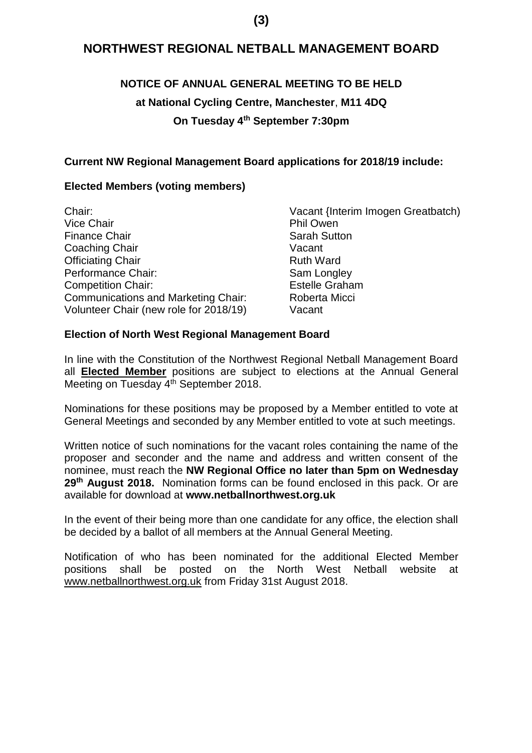### **(3)**

### **NORTHWEST REGIONAL NETBALL MANAGEMENT BOARD**

### **NOTICE OF ANNUAL GENERAL MEETING TO BE HELD**

### **at National Cycling Centre, Manchester**, **M11 4DQ**

### **On Tuesday 4th September 7:30pm**

### **Current NW Regional Management Board applications for 2018/19 include:**

### **Elected Members (voting members)**

| Chair:                                     | Vacant {Interim Imogen Greatbatch) |
|--------------------------------------------|------------------------------------|
| <b>Vice Chair</b>                          | <b>Phil Owen</b>                   |
| <b>Finance Chair</b>                       | <b>Sarah Sutton</b>                |
| Coaching Chair                             | Vacant                             |
| <b>Officiating Chair</b>                   | <b>Ruth Ward</b>                   |
| Performance Chair:                         | Sam Longley                        |
| <b>Competition Chair:</b>                  | <b>Estelle Graham</b>              |
| <b>Communications and Marketing Chair:</b> | Roberta Micci                      |
| Volunteer Chair (new role for 2018/19)     | Vacant                             |
|                                            |                                    |

#### **Election of North West Regional Management Board**

In line with the Constitution of the Northwest Regional Netball Management Board all **Elected Member** positions are subject to elections at the Annual General Meeting on Tuesday 4<sup>th</sup> September 2018.

Nominations for these positions may be proposed by a Member entitled to vote at General Meetings and seconded by any Member entitled to vote at such meetings.

Written notice of such nominations for the vacant roles containing the name of the proposer and seconder and the name and address and written consent of the nominee, must reach the **NW Regional Office no later than 5pm on Wednesday 29th August 2018.** Nomination forms can be found enclosed in this pack. Or are available for download at **www.netballnorthwest.org.uk**

In the event of their being more than one candidate for any office, the election shall be decided by a ballot of all members at the Annual General Meeting.

Notification of who has been nominated for the additional Elected Member positions shall be posted on the North West Netball website at [www.netballnorthwest.org.uk](http://www.netballnorthwest.org.uk/) from Friday 31st August 2018.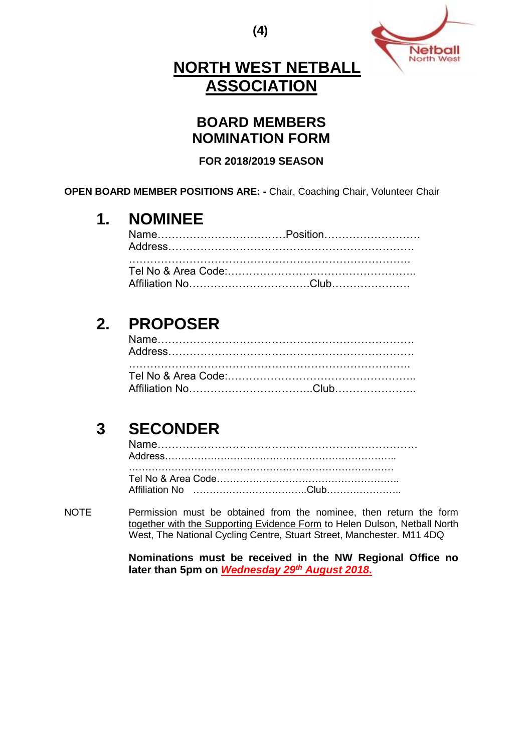**(4)**



# **NORTH WEST NETBALL ASSOCIATION**

## **BOARD MEMBERS NOMINATION FORM**

### **FOR 2018/2019 SEASON**

**OPEN BOARD MEMBER POSITIONS ARE: -** Chair, Coaching Chair, Volunteer Chair

# **1. NOMINEE**

# **2. PROPOSER**

# **3 SECONDER**

NOTE Permission must be obtained from the nominee, then return the form together with the Supporting Evidence Form to Helen Dulson, Netball North West, The National Cycling Centre, Stuart Street, Manchester. M11 4DQ

> **Nominations must be received in the NW Regional Office no later than 5pm on** *Wednesday 29th August 2018***.**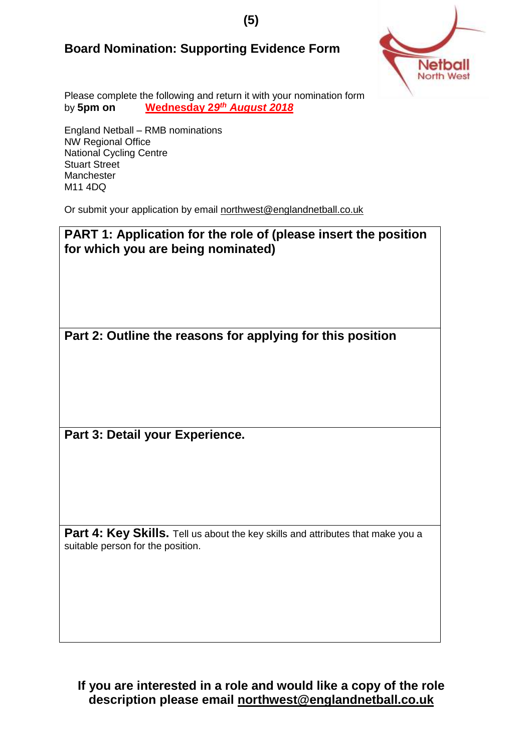## **Board Nomination: Supporting Evidence Form**



Please complete the following and return it with your nomination form by **5pm on Wednesday 2***9 th August 2018*

England Netball – RMB nominations NW Regional Office National Cycling Centre Stuart Street **Manchester** M11 4DQ

Or submit your application by email [northwest@englandnetball.co.uk](mailto:northwest@englandnetball.co.uk)

**PART 1: Application for the role of (please insert the position for which you are being nominated) Part 2: Outline the reasons for applying for this position Part 3: Detail your Experience. Part 4: Key Skills.** Tell us about the key skills and attributes that make you a suitable person for the position.

**If you are interested in a role and would like a copy of the role description please email [northwest@englandnetball.co.uk](mailto:northwest@englandnetball.co.uk)**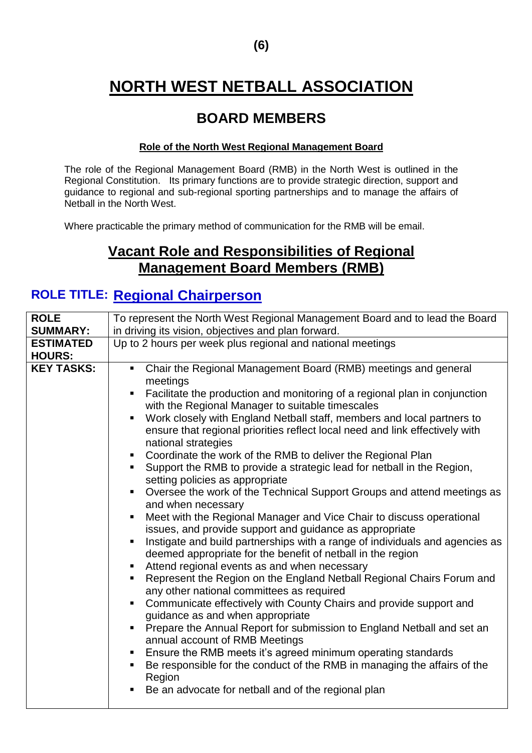# **NORTH WEST NETBALL ASSOCIATION**

# **BOARD MEMBERS**

#### **Role of the North West Regional Management Board**

The role of the Regional Management Board (RMB) in the North West is outlined in the Regional Constitution. Its primary functions are to provide strategic direction, support and guidance to regional and sub-regional sporting partnerships and to manage the affairs of Netball in the North West.

Where practicable the primary method of communication for the RMB will be email.

# **Vacant Role and Responsibilities of Regional Management Board Members (RMB)**

## **ROLE TITLE: Regional Chairperson**

| <b>ROLE</b>                       | To represent the North West Regional Management Board and to lead the Board                                                                                                        |  |
|-----------------------------------|------------------------------------------------------------------------------------------------------------------------------------------------------------------------------------|--|
| <b>SUMMARY:</b>                   | in driving its vision, objectives and plan forward.                                                                                                                                |  |
| <b>ESTIMATED</b><br><b>HOURS:</b> | Up to 2 hours per week plus regional and national meetings                                                                                                                         |  |
|                                   |                                                                                                                                                                                    |  |
| <b>KEY TASKS:</b>                 | Chair the Regional Management Board (RMB) meetings and general<br>π.<br>meetings<br>Facilitate the production and monitoring of a regional plan in conjunction                     |  |
|                                   | with the Regional Manager to suitable timescales                                                                                                                                   |  |
|                                   | Work closely with England Netball staff, members and local partners to<br>٠<br>ensure that regional priorities reflect local need and link effectively with<br>national strategies |  |
|                                   | Coordinate the work of the RMB to deliver the Regional Plan<br>$\blacksquare$                                                                                                      |  |
|                                   | Support the RMB to provide a strategic lead for netball in the Region,<br>٠.<br>setting policies as appropriate                                                                    |  |
|                                   | Oversee the work of the Technical Support Groups and attend meetings as<br>٠<br>and when necessary                                                                                 |  |
|                                   | Meet with the Regional Manager and Vice Chair to discuss operational<br>٠<br>issues, and provide support and guidance as appropriate                                               |  |
|                                   | Instigate and build partnerships with a range of individuals and agencies as<br>ш<br>deemed appropriate for the benefit of netball in the region                                   |  |
|                                   | Attend regional events as and when necessary<br>٠                                                                                                                                  |  |
|                                   | Represent the Region on the England Netball Regional Chairs Forum and<br>ш<br>any other national committees as required                                                            |  |
|                                   | Communicate effectively with County Chairs and provide support and<br>guidance as and when appropriate                                                                             |  |
|                                   | Prepare the Annual Report for submission to England Netball and set an<br>annual account of RMB Meetings                                                                           |  |
|                                   | Ensure the RMB meets it's agreed minimum operating standards<br>٠<br>Be responsible for the conduct of the RMB in managing the affairs of the<br>٠<br>Region                       |  |
|                                   | Be an advocate for netball and of the regional plan<br>ш                                                                                                                           |  |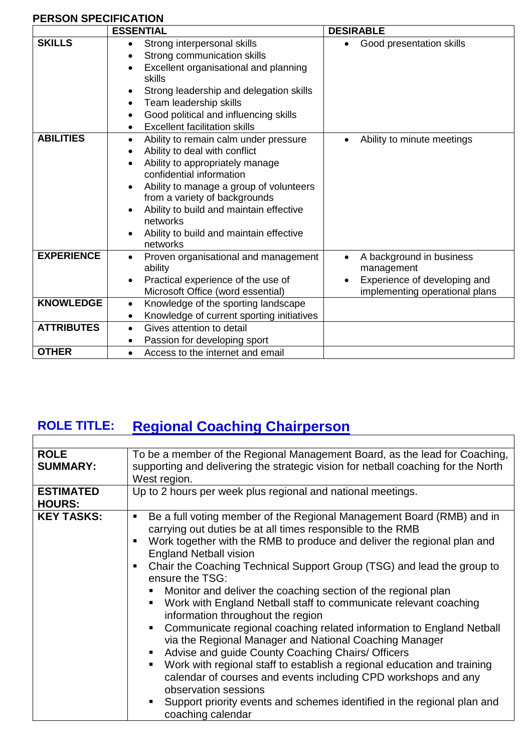### **PERSON SPECIFICATION**

 $\mathbf{r}$ 

|                   | <b>ESSENTIAL</b>                                                                                                                                                                                                                                                                                                                | <b>DESIRABLE</b>                                                                                         |
|-------------------|---------------------------------------------------------------------------------------------------------------------------------------------------------------------------------------------------------------------------------------------------------------------------------------------------------------------------------|----------------------------------------------------------------------------------------------------------|
| <b>SKILLS</b>     | Strong interpersonal skills<br>Strong communication skills<br>Excellent organisational and planning<br>skills<br>Strong leadership and delegation skills<br>Team leadership skills<br>Good political and influencing skills<br>$\bullet$<br><b>Excellent facilitation skills</b>                                                | Good presentation skills                                                                                 |
| <b>ABILITIES</b>  | Ability to remain calm under pressure<br>Ability to deal with conflict<br>Ability to appropriately manage<br>confidential information<br>Ability to manage a group of volunteers<br>from a variety of backgrounds<br>Ability to build and maintain effective<br>networks<br>Ability to build and maintain effective<br>networks | Ability to minute meetings                                                                               |
| <b>EXPERIENCE</b> | Proven organisational and management<br>ability<br>Practical experience of the use of<br>$\bullet$<br>Microsoft Office (word essential)                                                                                                                                                                                         | A background in business<br>management<br>Experience of developing and<br>implementing operational plans |
| <b>KNOWLEDGE</b>  | Knowledge of the sporting landscape<br>$\bullet$                                                                                                                                                                                                                                                                                |                                                                                                          |
|                   | Knowledge of current sporting initiatives<br>$\bullet$                                                                                                                                                                                                                                                                          |                                                                                                          |
| <b>ATTRIBUTES</b> | Gives attention to detail                                                                                                                                                                                                                                                                                                       |                                                                                                          |
|                   | Passion for developing sport                                                                                                                                                                                                                                                                                                    |                                                                                                          |
| <b>OTHER</b>      | Access to the internet and email<br>$\bullet$                                                                                                                                                                                                                                                                                   |                                                                                                          |

# **ROLE TITLE: Regional Coaching Chairperson**

| <b>ROLE</b><br><b>SUMMARY:</b>    | To be a member of the Regional Management Board, as the lead for Coaching,<br>supporting and delivering the strategic vision for netball coaching for the North<br>West region.                                                                                                                                                                                                                                                                                                                                                                                                                                                                                                                                                                                                                                                                                                                                                                                                                                                  |
|-----------------------------------|----------------------------------------------------------------------------------------------------------------------------------------------------------------------------------------------------------------------------------------------------------------------------------------------------------------------------------------------------------------------------------------------------------------------------------------------------------------------------------------------------------------------------------------------------------------------------------------------------------------------------------------------------------------------------------------------------------------------------------------------------------------------------------------------------------------------------------------------------------------------------------------------------------------------------------------------------------------------------------------------------------------------------------|
| <b>ESTIMATED</b><br><b>HOURS:</b> | Up to 2 hours per week plus regional and national meetings.                                                                                                                                                                                                                                                                                                                                                                                                                                                                                                                                                                                                                                                                                                                                                                                                                                                                                                                                                                      |
| <b>KEY TASKS:</b>                 | Be a full voting member of the Regional Management Board (RMB) and in<br>٠<br>carrying out duties be at all times responsible to the RMB<br>Work together with the RMB to produce and deliver the regional plan and<br><b>England Netball vision</b><br>Chair the Coaching Technical Support Group (TSG) and lead the group to<br>$\mathbf{E}$<br>ensure the TSG:<br>Monitor and deliver the coaching section of the regional plan<br>Work with England Netball staff to communicate relevant coaching<br>٠<br>information throughout the region<br>Communicate regional coaching related information to England Netball<br>ш<br>via the Regional Manager and National Coaching Manager<br>Advise and guide County Coaching Chairs/ Officers<br>ш<br>Work with regional staff to establish a regional education and training<br>٠<br>calendar of courses and events including CPD workshops and any<br>observation sessions<br>Support priority events and schemes identified in the regional plan and<br>٠<br>coaching calendar |

L,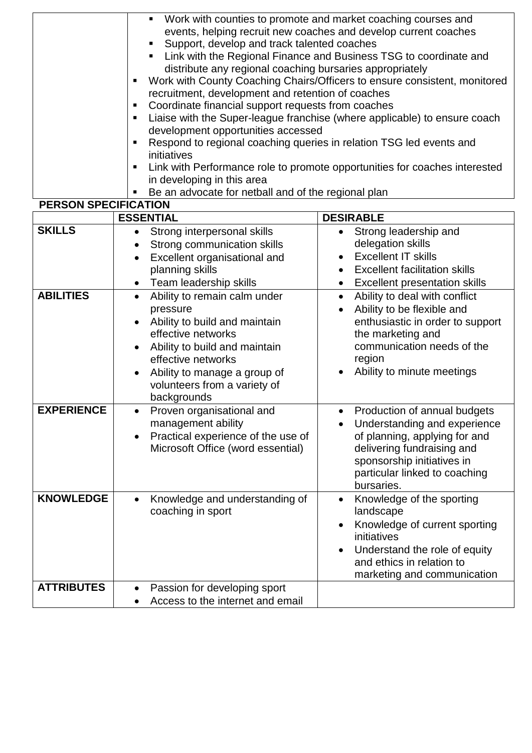| Work with counties to promote and market coaching courses and<br>$\blacksquare$<br>events, helping recruit new coaches and develop current coaches<br>Support, develop and track talented coaches<br>Link with the Regional Finance and Business TSG to coordinate and<br>distribute any regional coaching bursaries appropriately<br>• Work with County Coaching Chairs/Officers to ensure consistent, monitored<br>recruitment, development and retention of coaches<br>Coordinate financial support requests from coaches<br>Liaise with the Super-league franchise (where applicable) to ensure coach<br>٠<br>development opportunities accessed<br>Respond to regional coaching queries in relation TSG led events and<br>٠<br>initiatives<br>Link with Performance role to promote opportunities for coaches interested<br>п |
|------------------------------------------------------------------------------------------------------------------------------------------------------------------------------------------------------------------------------------------------------------------------------------------------------------------------------------------------------------------------------------------------------------------------------------------------------------------------------------------------------------------------------------------------------------------------------------------------------------------------------------------------------------------------------------------------------------------------------------------------------------------------------------------------------------------------------------|
|                                                                                                                                                                                                                                                                                                                                                                                                                                                                                                                                                                                                                                                                                                                                                                                                                                    |
| in developing in this area<br>Be an advocate for netball and of the regional plan                                                                                                                                                                                                                                                                                                                                                                                                                                                                                                                                                                                                                                                                                                                                                  |
| PERSON SPECIFICATION                                                                                                                                                                                                                                                                                                                                                                                                                                                                                                                                                                                                                                                                                                                                                                                                               |

|                   | LIVOUN OF LUITIUATIUN                     |                                            |  |  |
|-------------------|-------------------------------------------|--------------------------------------------|--|--|
|                   | <b>ESSENTIAL</b>                          | <b>DESIRABLE</b>                           |  |  |
| <b>SKILLS</b>     | Strong interpersonal skills<br>$\bullet$  | Strong leadership and<br>$\bullet$         |  |  |
|                   | Strong communication skills               | delegation skills                          |  |  |
|                   | Excellent organisational and<br>$\bullet$ | <b>Excellent IT skills</b><br>$\bullet$    |  |  |
|                   | planning skills                           | <b>Excellent facilitation skills</b>       |  |  |
|                   | Team leadership skills                    | Excellent presentation skills              |  |  |
| <b>ABILITIES</b>  | Ability to remain calm under<br>$\bullet$ | Ability to deal with conflict<br>$\bullet$ |  |  |
|                   | pressure                                  | Ability to be flexible and                 |  |  |
|                   | Ability to build and maintain             | enthusiastic in order to support           |  |  |
|                   | effective networks                        | the marketing and                          |  |  |
|                   | Ability to build and maintain             | communication needs of the                 |  |  |
|                   | effective networks                        | region                                     |  |  |
|                   | Ability to manage a group of              | Ability to minute meetings                 |  |  |
|                   | volunteers from a variety of              |                                            |  |  |
|                   | backgrounds                               |                                            |  |  |
| <b>EXPERIENCE</b> | Proven organisational and<br>$\bullet$    | Production of annual budgets<br>$\bullet$  |  |  |
|                   | management ability                        | Understanding and experience               |  |  |
|                   | Practical experience of the use of        | of planning, applying for and              |  |  |
|                   | Microsoft Office (word essential)         | delivering fundraising and                 |  |  |
|                   |                                           | sponsorship initiatives in                 |  |  |
|                   |                                           | particular linked to coaching              |  |  |
|                   |                                           | bursaries.                                 |  |  |
| <b>KNOWLEDGE</b>  | Knowledge and understanding of            | Knowledge of the sporting<br>$\bullet$     |  |  |
|                   | coaching in sport                         | landscape                                  |  |  |
|                   |                                           | Knowledge of current sporting              |  |  |
|                   |                                           | initiatives                                |  |  |
|                   |                                           | Understand the role of equity              |  |  |
|                   |                                           | and ethics in relation to                  |  |  |
|                   |                                           | marketing and communication                |  |  |
| <b>ATTRIBUTES</b> | Passion for developing sport<br>$\bullet$ |                                            |  |  |
|                   | Access to the internet and email          |                                            |  |  |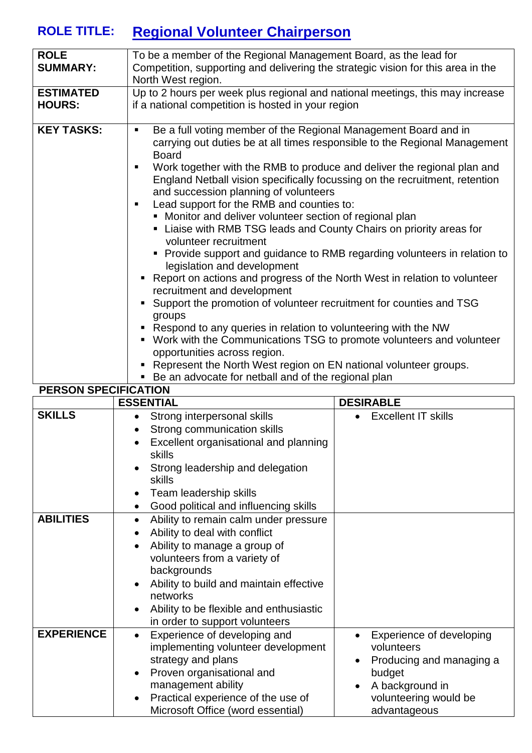# **ROLE TITLE: Regional Volunteer Chairperson**

| <b>ROLE</b><br>To be a member of the Regional Management Board, as the lead for<br><b>SUMMARY:</b><br>Competition, supporting and delivering the strategic vision for this area in the<br>North West region.<br>Up to 2 hours per week plus regional and national meetings, this may increase<br><b>ESTIMATED</b><br><b>HOURS:</b><br>if a national competition is hosted in your region<br><b>KEY TASKS:</b><br>Be a full voting member of the Regional Management Board and in<br>٠<br>carrying out duties be at all times responsible to the Regional Management<br><b>Board</b><br>Work together with the RMB to produce and deliver the regional plan and<br>٠<br>England Netball vision specifically focussing on the recruitment, retention<br>and succession planning of volunteers<br>Lead support for the RMB and counties to:<br>п.<br>• Monitor and deliver volunteer section of regional plan<br>• Liaise with RMB TSG leads and County Chairs on priority areas for<br>volunteer recruitment<br>• Provide support and guidance to RMB regarding volunteers in relation to<br>legislation and development<br>" Report on actions and progress of the North West in relation to volunteer<br>recruitment and development<br>• Support the promotion of volunteer recruitment for counties and TSG<br>groups<br>• Respond to any queries in relation to volunteering with the NW<br>• Work with the Communications TSG to promote volunteers and volunteer<br>opportunities across region.<br>• Represent the North West region on EN national volunteer groups.<br>• Be an advocate for netball and of the regional plan<br><b>PERSON SPECIFICATION</b> |  |
|---------------------------------------------------------------------------------------------------------------------------------------------------------------------------------------------------------------------------------------------------------------------------------------------------------------------------------------------------------------------------------------------------------------------------------------------------------------------------------------------------------------------------------------------------------------------------------------------------------------------------------------------------------------------------------------------------------------------------------------------------------------------------------------------------------------------------------------------------------------------------------------------------------------------------------------------------------------------------------------------------------------------------------------------------------------------------------------------------------------------------------------------------------------------------------------------------------------------------------------------------------------------------------------------------------------------------------------------------------------------------------------------------------------------------------------------------------------------------------------------------------------------------------------------------------------------------------------------------------------------------------------------------------------------|--|
|                                                                                                                                                                                                                                                                                                                                                                                                                                                                                                                                                                                                                                                                                                                                                                                                                                                                                                                                                                                                                                                                                                                                                                                                                                                                                                                                                                                                                                                                                                                                                                                                                                                                     |  |
|                                                                                                                                                                                                                                                                                                                                                                                                                                                                                                                                                                                                                                                                                                                                                                                                                                                                                                                                                                                                                                                                                                                                                                                                                                                                                                                                                                                                                                                                                                                                                                                                                                                                     |  |
|                                                                                                                                                                                                                                                                                                                                                                                                                                                                                                                                                                                                                                                                                                                                                                                                                                                                                                                                                                                                                                                                                                                                                                                                                                                                                                                                                                                                                                                                                                                                                                                                                                                                     |  |
|                                                                                                                                                                                                                                                                                                                                                                                                                                                                                                                                                                                                                                                                                                                                                                                                                                                                                                                                                                                                                                                                                                                                                                                                                                                                                                                                                                                                                                                                                                                                                                                                                                                                     |  |
|                                                                                                                                                                                                                                                                                                                                                                                                                                                                                                                                                                                                                                                                                                                                                                                                                                                                                                                                                                                                                                                                                                                                                                                                                                                                                                                                                                                                                                                                                                                                                                                                                                                                     |  |

| LINUUN UI LUII IUATIUN | <b>ESSENTIAL</b>                                                                                                                                                                                                                                                                                                                                   | <b>DESIRABLE</b>                                                                                                                                                                |
|------------------------|----------------------------------------------------------------------------------------------------------------------------------------------------------------------------------------------------------------------------------------------------------------------------------------------------------------------------------------------------|---------------------------------------------------------------------------------------------------------------------------------------------------------------------------------|
| <b>SKILLS</b>          | Strong interpersonal skills<br>$\bullet$<br>Strong communication skills<br>$\bullet$<br>Excellent organisational and planning<br>$\bullet$<br>skills<br>Strong leadership and delegation<br>$\bullet$<br>skills<br>Team leadership skills<br>$\bullet$<br>Good political and influencing skills<br>$\bullet$                                       | <b>Excellent IT skills</b><br>$\bullet$                                                                                                                                         |
| <b>ABILITIES</b>       | Ability to remain calm under pressure<br>$\bullet$<br>Ability to deal with conflict<br>$\bullet$<br>Ability to manage a group of<br>$\bullet$<br>volunteers from a variety of<br>backgrounds<br>Ability to build and maintain effective<br>٠<br>networks<br>Ability to be flexible and enthusiastic<br>$\bullet$<br>in order to support volunteers |                                                                                                                                                                                 |
| <b>EXPERIENCE</b>      | Experience of developing and<br>$\bullet$<br>implementing volunteer development<br>strategy and plans<br>Proven organisational and<br>$\bullet$<br>management ability<br>Practical experience of the use of<br>$\bullet$<br>Microsoft Office (word essential)                                                                                      | Experience of developing<br>$\bullet$<br>volunteers<br>Producing and managing a<br>$\bullet$<br>budget<br>A background in<br>$\bullet$<br>volunteering would be<br>advantageous |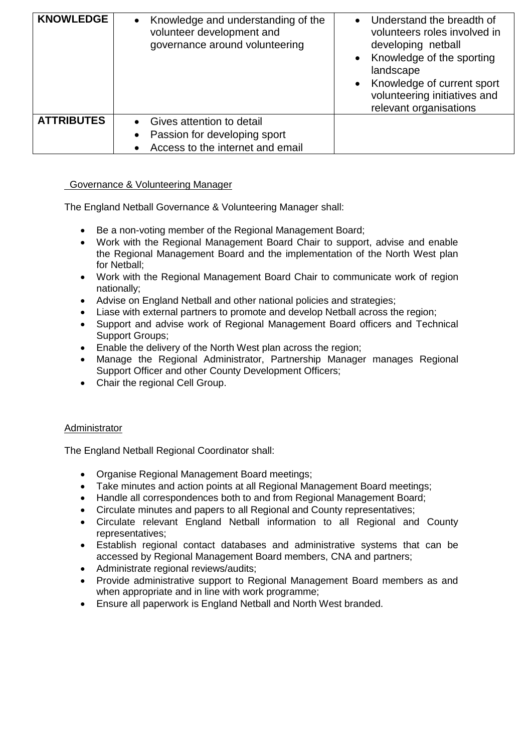| <b>KNOWLEDGE</b>  | Knowledge and understanding of the<br>$\bullet$<br>volunteer development and<br>governance around volunteering | Understand the breadth of<br>$\bullet$<br>volunteers roles involved in<br>developing netball<br>Knowledge of the sporting<br>$\bullet$<br>landscape<br>Knowledge of current sport<br>$\bullet$<br>volunteering initiatives and<br>relevant organisations |
|-------------------|----------------------------------------------------------------------------------------------------------------|----------------------------------------------------------------------------------------------------------------------------------------------------------------------------------------------------------------------------------------------------------|
| <b>ATTRIBUTES</b> | Gives attention to detail                                                                                      |                                                                                                                                                                                                                                                          |
|                   | Passion for developing sport<br>$\bullet$                                                                      |                                                                                                                                                                                                                                                          |
|                   | Access to the internet and email                                                                               |                                                                                                                                                                                                                                                          |

#### Governance & Volunteering Manager

The England Netball Governance & Volunteering Manager shall:

- Be a non-voting member of the Regional Management Board;
- Work with the Regional Management Board Chair to support, advise and enable the Regional Management Board and the implementation of the North West plan for Netball;
- Work with the Regional Management Board Chair to communicate work of region nationally;
- Advise on England Netball and other national policies and strategies;
- Liase with external partners to promote and develop Netball across the region;
- Support and advise work of Regional Management Board officers and Technical Support Groups;
- Enable the delivery of the North West plan across the region;
- Manage the Regional Administrator, Partnership Manager manages Regional Support Officer and other County Development Officers;
- Chair the regional Cell Group.

#### Administrator

The England Netball Regional Coordinator shall:

- Organise Regional Management Board meetings;
- Take minutes and action points at all Regional Management Board meetings;
- Handle all correspondences both to and from Regional Management Board;
- Circulate minutes and papers to all Regional and County representatives;
- Circulate relevant England Netball information to all Regional and County representatives;
- Establish regional contact databases and administrative systems that can be accessed by Regional Management Board members, CNA and partners;
- Administrate regional reviews/audits;
- Provide administrative support to Regional Management Board members as and when appropriate and in line with work programme;
- Ensure all paperwork is England Netball and North West branded.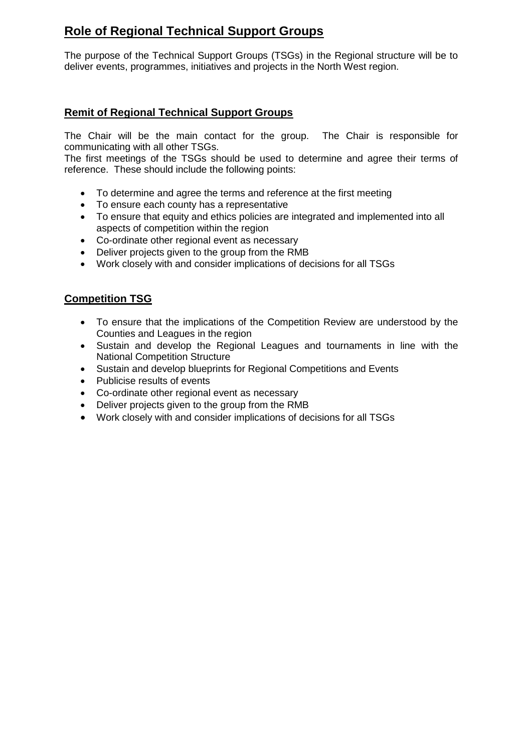## **Role of Regional Technical Support Groups**

The purpose of the Technical Support Groups (TSGs) in the Regional structure will be to deliver events, programmes, initiatives and projects in the North West region.

### **Remit of Regional Technical Support Groups**

The Chair will be the main contact for the group. The Chair is responsible for communicating with all other TSGs.

The first meetings of the TSGs should be used to determine and agree their terms of reference. These should include the following points:

- To determine and agree the terms and reference at the first meeting
- To ensure each county has a representative
- To ensure that equity and ethics policies are integrated and implemented into all aspects of competition within the region
- Co-ordinate other regional event as necessary
- Deliver projects given to the group from the RMB
- Work closely with and consider implications of decisions for all TSGs

### **Competition TSG**

- To ensure that the implications of the Competition Review are understood by the Counties and Leagues in the region
- Sustain and develop the Regional Leagues and tournaments in line with the National Competition Structure
- Sustain and develop blueprints for Regional Competitions and Events
- Publicise results of events
- Co-ordinate other regional event as necessary
- Deliver projects given to the group from the RMB
- Work closely with and consider implications of decisions for all TSGs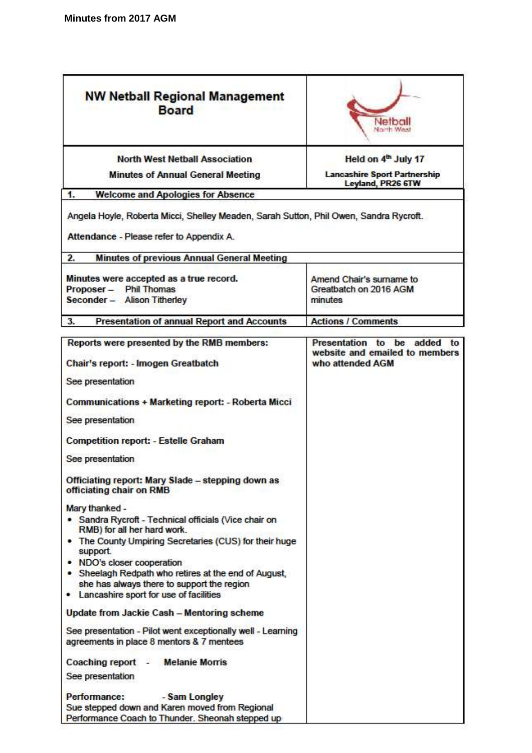| <b>NW Netball Regional Management</b><br><b>Board</b>                                                                                                                        | Netbal<br>North Was                                                                  |  |
|------------------------------------------------------------------------------------------------------------------------------------------------------------------------------|--------------------------------------------------------------------------------------|--|
| <b>North West Netball Association</b>                                                                                                                                        | Held on 4 <sup>th</sup> July 17                                                      |  |
| <b>Minutes of Annual General Meeting</b>                                                                                                                                     | <b>Lancashire Sport Partnership</b><br>Leyland, PR26 6TW                             |  |
| 1.<br><b>Welcome and Apologies for Absence</b>                                                                                                                               |                                                                                      |  |
| Angela Hoyle, Roberta Micci, Shelley Meaden, Sarah Sutton, Phil Owen, Sandra Rycroft.<br>Attendance - Please refer to Appendix A.                                            |                                                                                      |  |
| 2.<br><b>Minutes of previous Annual General Meeting</b>                                                                                                                      |                                                                                      |  |
| Minutes were accepted as a true record.<br>Proposer - Phil Thomas<br>Seconder - Alison Titherley                                                                             | Amend Chair's sumame to<br>Greatbatch on 2016 AGM<br>minutes                         |  |
| <b>Presentation of annual Report and Accounts</b><br>3.                                                                                                                      | <b>Actions / Comments</b>                                                            |  |
| Reports were presented by the RMB members:<br>Chair's report: - Imogen Greatbatch                                                                                            | Presentation to be added<br>to<br>website and emailed to members<br>who attended AGM |  |
| See presentation                                                                                                                                                             |                                                                                      |  |
| Communications + Marketing report: - Roberta Micci                                                                                                                           |                                                                                      |  |
| See presentation                                                                                                                                                             |                                                                                      |  |
| <b>Competition report: - Estelle Graham</b>                                                                                                                                  |                                                                                      |  |
| See presentation                                                                                                                                                             |                                                                                      |  |
| Officiating report: Mary Slade – stepping down as<br>officiating chair on RMB                                                                                                |                                                                                      |  |
| Mary thanked -                                                                                                                                                               |                                                                                      |  |
| • Sandra Rycroft - Technical officials (Vice chair on<br>RMB) for all her hard work.                                                                                         |                                                                                      |  |
| • The County Umpiring Secretaries (CUS) for their huge<br>support.                                                                                                           |                                                                                      |  |
| • NDO's closer cooperation<br>• Sheelagh Redpath who retires at the end of August,<br>she has always there to support the region<br>• Lancashire sport for use of facilities |                                                                                      |  |
| Update from Jackie Cash - Mentoring scheme                                                                                                                                   |                                                                                      |  |
| See presentation - Pilot went exceptionally well - Learning<br>agreements in place 8 mentors & 7 mentees                                                                     |                                                                                      |  |
| <b>Melanie Morris</b><br>Coaching report -<br>See presentation                                                                                                               |                                                                                      |  |
| Performance:<br>- Sam Longley<br>Sue stepped down and Karen moved from Regional<br>Performance Coach to Thunder. Sheonah stepped up                                          |                                                                                      |  |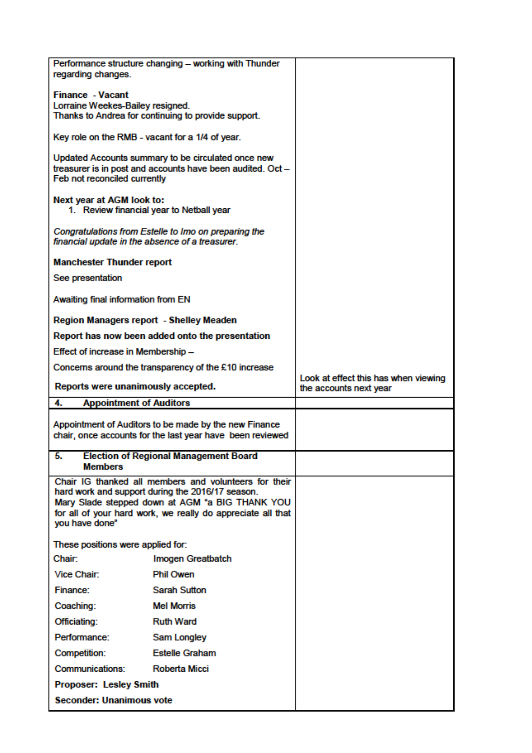| regarding changes.                              | Performance structure changing - working with Thunder                                                              |                                                                |
|-------------------------------------------------|--------------------------------------------------------------------------------------------------------------------|----------------------------------------------------------------|
| <b>Finance - Vacant</b>                         |                                                                                                                    |                                                                |
| Lorraine Weekes-Bailey resigned.                |                                                                                                                    |                                                                |
|                                                 | Thanks to Andrea for continuing to provide support.                                                                |                                                                |
| Key role on the RMB - vacant for a 1/4 of year. |                                                                                                                    |                                                                |
|                                                 | Updated Accounts summary to be circulated once new                                                                 |                                                                |
| Feb not reconciled currently                    | treasurer is in post and accounts have been audited. Oct -                                                         |                                                                |
|                                                 |                                                                                                                    |                                                                |
| Next year at AGM look to:                       | 1. Review financial year to Netball year                                                                           |                                                                |
| financial update in the absence of a treasurer. | Congratulations from Estelle to Imo on preparing the                                                               |                                                                |
| <b>Manchester Thunder report</b>                |                                                                                                                    |                                                                |
| See presentation                                |                                                                                                                    |                                                                |
| Awaiting final information from EN              |                                                                                                                    |                                                                |
| Region Managers report - Shelley Meaden         |                                                                                                                    |                                                                |
|                                                 | Report has now been added onto the presentation                                                                    |                                                                |
| Effect of increase in Membership -              |                                                                                                                    |                                                                |
|                                                 | Concerns around the transparency of the £10 increase                                                               |                                                                |
| Reports were unanimously accepted.              |                                                                                                                    | Look at effect this has when viewing<br>the accounts next year |
| 4.<br><b>Appointment of Auditors</b>            |                                                                                                                    |                                                                |
|                                                 |                                                                                                                    |                                                                |
|                                                 | Appointment of Auditors to be made by the new Finance<br>chair, once accounts for the last year have been reviewed |                                                                |
|                                                 |                                                                                                                    |                                                                |
| 5.<br><b>Members</b>                            | <b>Election of Regional Management Board</b>                                                                       |                                                                |
|                                                 |                                                                                                                    |                                                                |
|                                                 | Chair IG thanked all members and volunteers for their                                                              |                                                                |
|                                                 | hard work and support during the 2016/17 season.                                                                   |                                                                |
|                                                 | Mary Slade stepped down at AGM "a BIG THANK YOU<br>for all of your hard work, we really do appreciate all that     |                                                                |
| you have done"                                  |                                                                                                                    |                                                                |
| These positions were applied for:               |                                                                                                                    |                                                                |
| <b>Chair:</b>                                   | Imogen Greatbatch                                                                                                  |                                                                |
| Vice Chair:                                     | <b>Phil Owen</b>                                                                                                   |                                                                |
| Finance:                                        | <b>Sarah Sutton</b>                                                                                                |                                                                |
| Coaching:                                       | <b>Mel Morris</b>                                                                                                  |                                                                |
| Officiating:                                    | <b>Ruth Ward</b>                                                                                                   |                                                                |
| Performance:                                    | <b>Sam Longley</b>                                                                                                 |                                                                |
| Competition:                                    | <b>Estelle Graham</b>                                                                                              |                                                                |
| Communications:                                 | Roberta Micci                                                                                                      |                                                                |
| Proposer: Lesley Smith                          |                                                                                                                    |                                                                |